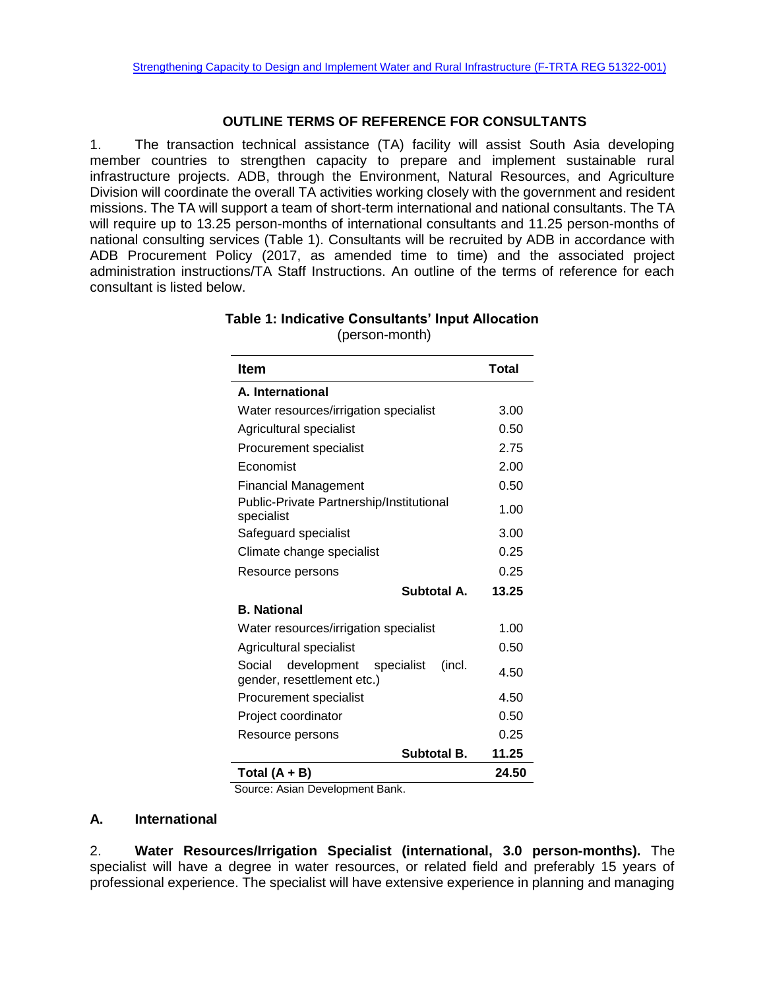## **OUTLINE TERMS OF REFERENCE FOR CONSULTANTS**

1. The transaction technical assistance (TA) facility will assist South Asia developing member countries to strengthen capacity to prepare and implement sustainable rural infrastructure projects. ADB, through the Environment, Natural Resources, and Agriculture Division will coordinate the overall TA activities working closely with the government and resident missions. The TA will support a team of short-term international and national consultants. The TA will require up to 13.25 person-months of international consultants and 11.25 person-months of national consulting services (Table 1). Consultants will be recruited by ADB in accordance with ADB Procurement Policy (2017, as amended time to time) and the associated project administration instructions/TA Staff Instructions. An outline of the terms of reference for each consultant is listed below.

| <b>Item</b>                                                                 | <b>Total</b> |
|-----------------------------------------------------------------------------|--------------|
| A. International                                                            |              |
| Water resources/irrigation specialist                                       | 3.00         |
| Agricultural specialist                                                     | 0.50         |
| Procurement specialist                                                      | 2.75         |
| Economist                                                                   | 2.00         |
| <b>Financial Management</b>                                                 | 0.50         |
| Public-Private Partnership/Institutional<br>specialist                      | 1.00         |
| Safeguard specialist                                                        | 3.00         |
| Climate change specialist                                                   | 0.25         |
| Resource persons                                                            | 0.25         |
| Subtotal A.                                                                 | 13.25        |
| <b>B. National</b>                                                          |              |
| Water resources/irrigation specialist                                       | 1.00         |
| Agricultural specialist                                                     | 0.50         |
| development<br>Social<br>specialist<br>(incl.<br>gender, resettlement etc.) | 4.50         |
| Procurement specialist                                                      | 4.50         |
| Project coordinator                                                         | 0.50         |
| Resource persons                                                            | 0.25         |
| <b>Subtotal B.</b>                                                          | 11.25        |
| Total $(A + B)$                                                             | 24.50        |

**Table 1: Indicative Consultants' Input Allocation** (person-month)

Source: Asian Development Bank.

## **A. International**

2. **Water Resources/Irrigation Specialist (international, 3.0 person-months).** The specialist will have a degree in water resources, or related field and preferably 15 years of professional experience. The specialist will have extensive experience in planning and managing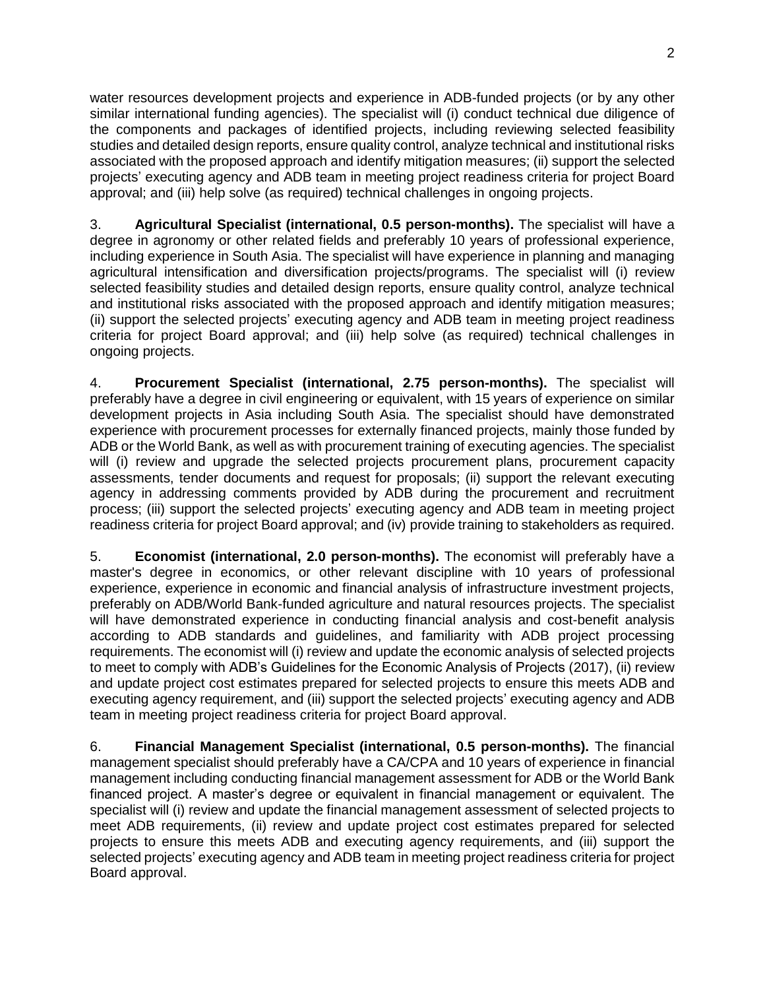water resources development projects and experience in ADB-funded projects (or by any other similar international funding agencies). The specialist will (i) conduct technical due diligence of the components and packages of identified projects, including reviewing selected feasibility studies and detailed design reports, ensure quality control, analyze technical and institutional risks associated with the proposed approach and identify mitigation measures; (ii) support the selected projects' executing agency and ADB team in meeting project readiness criteria for project Board approval; and (iii) help solve (as required) technical challenges in ongoing projects.

3. **Agricultural Specialist (international, 0.5 person-months).** The specialist will have a degree in agronomy or other related fields and preferably 10 years of professional experience, including experience in South Asia. The specialist will have experience in planning and managing agricultural intensification and diversification projects/programs. The specialist will (i) review selected feasibility studies and detailed design reports, ensure quality control, analyze technical and institutional risks associated with the proposed approach and identify mitigation measures; (ii) support the selected projects' executing agency and ADB team in meeting project readiness criteria for project Board approval; and (iii) help solve (as required) technical challenges in ongoing projects.

4. **Procurement Specialist (international, 2.75 person-months).** The specialist will preferably have a degree in civil engineering or equivalent, with 15 years of experience on similar development projects in Asia including South Asia. The specialist should have demonstrated experience with procurement processes for externally financed projects, mainly those funded by ADB or the World Bank, as well as with procurement training of executing agencies. The specialist will (i) review and upgrade the selected projects procurement plans, procurement capacity assessments, tender documents and request for proposals; (ii) support the relevant executing agency in addressing comments provided by ADB during the procurement and recruitment process; (iii) support the selected projects' executing agency and ADB team in meeting project readiness criteria for project Board approval; and (iv) provide training to stakeholders as required.

5. **Economist (international, 2.0 person-months).** The economist will preferably have a master's degree in economics, or other relevant discipline with 10 years of professional experience, experience in economic and financial analysis of infrastructure investment projects, preferably on ADB/World Bank-funded agriculture and natural resources projects. The specialist will have demonstrated experience in conducting financial analysis and cost-benefit analysis according to ADB standards and guidelines, and familiarity with ADB project processing requirements. The economist will (i) review and update the economic analysis of selected projects to meet to comply with ADB's Guidelines for the Economic Analysis of Projects (2017), (ii) review and update project cost estimates prepared for selected projects to ensure this meets ADB and executing agency requirement, and (iii) support the selected projects' executing agency and ADB team in meeting project readiness criteria for project Board approval.

6. **Financial Management Specialist (international, 0.5 person-months).** The financial management specialist should preferably have a CA/CPA and 10 years of experience in financial management including conducting financial management assessment for ADB or the World Bank financed project. A master's degree or equivalent in financial management or equivalent. The specialist will (i) review and update the financial management assessment of selected projects to meet ADB requirements, (ii) review and update project cost estimates prepared for selected projects to ensure this meets ADB and executing agency requirements, and (iii) support the selected projects' executing agency and ADB team in meeting project readiness criteria for project Board approval.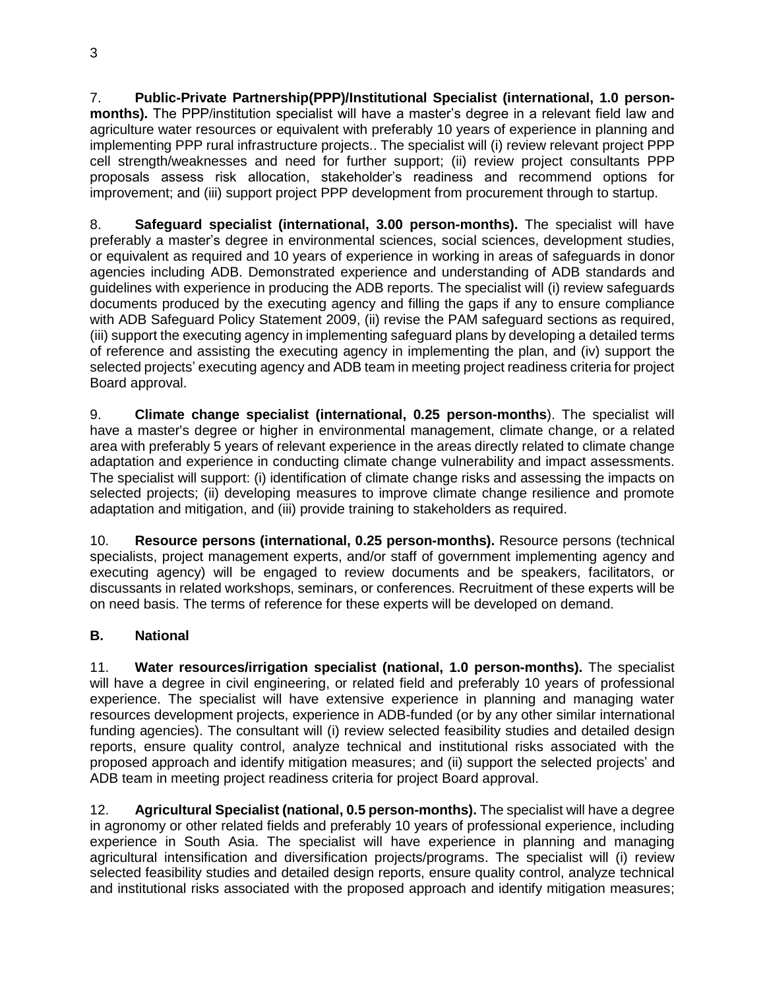7. **Public-Private Partnership(PPP)/Institutional Specialist (international, 1.0 personmonths).** The PPP/institution specialist will have a master's degree in a relevant field law and agriculture water resources or equivalent with preferably 10 years of experience in planning and implementing PPP rural infrastructure projects.. The specialist will (i) review relevant project PPP cell strength/weaknesses and need for further support; (ii) review project consultants PPP proposals assess risk allocation, stakeholder's readiness and recommend options for improvement; and (iii) support project PPP development from procurement through to startup.

8. **Safeguard specialist (international, 3.00 person-months).** The specialist will have preferably a master's degree in environmental sciences, social sciences, development studies, or equivalent as required and 10 years of experience in working in areas of safeguards in donor agencies including ADB. Demonstrated experience and understanding of ADB standards and guidelines with experience in producing the ADB reports. The specialist will (i) review safeguards documents produced by the executing agency and filling the gaps if any to ensure compliance with ADB Safeguard Policy Statement 2009, (ii) revise the PAM safeguard sections as required, (iii) support the executing agency in implementing safeguard plans by developing a detailed terms of reference and assisting the executing agency in implementing the plan, and (iv) support the selected projects' executing agency and ADB team in meeting project readiness criteria for project Board approval.

9. **Climate change specialist (international, 0.25 person-months**). The specialist will have a master's degree or higher in environmental management, climate change, or a related area with preferably 5 years of relevant experience in the areas directly related to climate change adaptation and experience in conducting climate change vulnerability and impact assessments. The specialist will support: (i) identification of climate change risks and assessing the impacts on selected projects; (ii) developing measures to improve climate change resilience and promote adaptation and mitigation, and (iii) provide training to stakeholders as required.

10. **Resource persons (international, 0.25 person-months).** Resource persons (technical specialists, project management experts, and/or staff of government implementing agency and executing agency) will be engaged to review documents and be speakers, facilitators, or discussants in related workshops, seminars, or conferences. Recruitment of these experts will be on need basis. The terms of reference for these experts will be developed on demand.

## **B. National**

11. **Water resources/irrigation specialist (national, 1.0 person-months).** The specialist will have a degree in civil engineering, or related field and preferably 10 years of professional experience. The specialist will have extensive experience in planning and managing water resources development projects, experience in ADB-funded (or by any other similar international funding agencies). The consultant will (i) review selected feasibility studies and detailed design reports, ensure quality control, analyze technical and institutional risks associated with the proposed approach and identify mitigation measures; and (ii) support the selected projects' and ADB team in meeting project readiness criteria for project Board approval.

12. **Agricultural Specialist (national, 0.5 person-months).** The specialist will have a degree in agronomy or other related fields and preferably 10 years of professional experience, including experience in South Asia. The specialist will have experience in planning and managing agricultural intensification and diversification projects/programs. The specialist will (i) review selected feasibility studies and detailed design reports, ensure quality control, analyze technical and institutional risks associated with the proposed approach and identify mitigation measures;